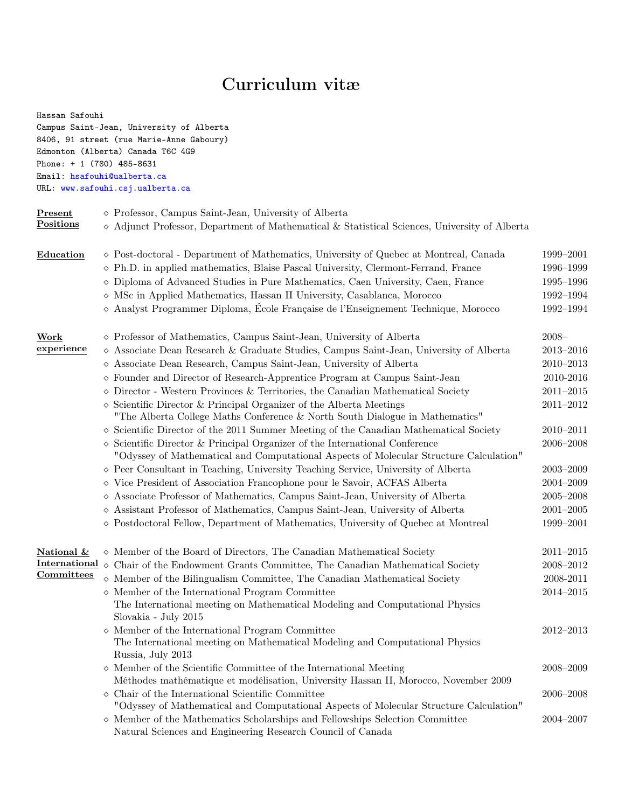# Curriculum vitæ

| Hassan Safouhi                | Campus Saint-Jean, University of Alberta                                                                                                                          |                     |
|-------------------------------|-------------------------------------------------------------------------------------------------------------------------------------------------------------------|---------------------|
|                               | 8406, 91 street (rue Marie-Anne Gaboury)                                                                                                                          |                     |
|                               | Edmonton (Alberta) Canada T6C 4G9                                                                                                                                 |                     |
| Phone: $+ 1 (780) 485 - 8631$ |                                                                                                                                                                   |                     |
|                               | Email: hsafouhi@ualberta.ca                                                                                                                                       |                     |
|                               | URL: www.safouhi.csj.ualberta.ca                                                                                                                                  |                     |
| <b>Present</b>                | $\diamond$ Professor, Campus Saint-Jean, University of Alberta                                                                                                    |                     |
| Positions                     | $\diamond$ Adjunct Professor, Department of Mathematical & Statistical Sciences, University of Alberta                                                            |                     |
| Education                     | $\diamond$ Post-doctoral - Department of Mathematics, University of Quebec at Montreal, Canada                                                                    | 1999-2001           |
|                               | $\diamond$ Ph.D. in applied mathematics, Blaise Pascal University, Clermont-Ferrand, France                                                                       | 1996-1999           |
|                               | $\diamond$ Diploma of Advanced Studies in Pure Mathematics, Caen University, Caen, France                                                                         | 1995–1996           |
|                               | $\diamond$ MSc in Applied Mathematics, Hassan II University, Casablanca, Morocco                                                                                  | 1992-1994           |
|                               | $\diamond$ Analyst Programmer Diploma, École Française de l'Enseignement Technique, Morocco                                                                       | 1992-1994           |
| Work                          | ◇ Professor of Mathematics, Campus Saint-Jean, University of Alberta                                                                                              | $2008 -$            |
| experience                    | $\diamond$ Associate Dean Research & Graduate Studies, Campus Saint-Jean, University of Alberta                                                                   | $2013 - 2016$       |
|                               | ◇ Associate Dean Research, Campus Saint-Jean, University of Alberta                                                                                               | $2010 - 2013$       |
|                               | $\diamond$ Founder and Director of Research-Apprentice Program at Campus Saint-Jean                                                                               | 2010-2016           |
|                               | $\diamond$ Director - Western Provinces & Territories, the Canadian Mathematical Society                                                                          | $2011 - 2015$       |
|                               | $\diamond$ Scientific Director & Principal Organizer of the Alberta Meetings<br>"The Alberta College Maths Conference & North South Dialogue in Mathematics"      | $2011 - 2012$       |
|                               | $\diamond$ Scientific Director of the 2011 Summer Meeting of the Canadian Mathematical Society                                                                    | $2010 - 2011$       |
|                               | $\diamond$ Scientific Director & Principal Organizer of the International Conference                                                                              | $2006 - 2008$       |
|                               | "Odyssey of Mathematical and Computational Aspects of Molecular Structure Calculation"                                                                            |                     |
|                               | $\diamond$ Peer Consultant in Teaching, University Teaching Service, University of Alberta                                                                        | $2003 - 2009$       |
|                               | ◇ Vice President of Association Francophone pour le Savoir, ACFAS Alberta                                                                                         | 2004-2009           |
|                               | $\diamond$ Associate Professor of Mathematics, Campus Saint-Jean, University of Alberta                                                                           | $2005 - 2008$       |
|                               | $\diamond$ Assistant Professor of Mathematics, Campus Saint-Jean, University of Alberta                                                                           | $2001 - 2005$       |
|                               | $\diamond$ Postdoctoral Fellow, Department of Mathematics, University of Quebec at Montreal                                                                       | 1999-2001           |
| National &                    | ◇ Member of the Board of Directors, The Canadian Mathematical Society                                                                                             | $2011 - 2015$       |
|                               | International $\diamond$ Chair of the Endowment Grants Committee, The Canadian Mathematical Society                                                               | $2008\!\!-\!\!2012$ |
| Committees                    | $\diamond$ Member of the Bilingualism Committee, The Canadian Mathematical Society                                                                                | 2008-2011           |
|                               | $\diamond$ Member of the International Program Committee                                                                                                          | $2014 - 2015$       |
|                               | The International meeting on Mathematical Modeling and Computational Physics<br>Slovakia - July 2015                                                              |                     |
|                               | $\diamond$ Member of the International Program Committee                                                                                                          | $2012 - 2013$       |
|                               | The International meeting on Mathematical Modeling and Computational Physics<br>Russia, July 2013                                                                 |                     |
|                               | $\diamond$ Member of the Scientific Committee of the International Meeting<br>Méthodes mathématique et modélisation, University Hassan II, Morocco, November 2009 | 2008-2009           |
|                               | $\diamond$ Chair of the International Scientific Committee                                                                                                        | $2006 - 2008$       |
|                               | "Odyssey of Mathematical and Computational Aspects of Molecular Structure Calculation"                                                                            |                     |
|                               | $\diamond$ Member of the Mathematics Scholarships and Fellowships Selection Committee<br>Natural Sciences and Engineering Research Council of Canada              | 2004-2007           |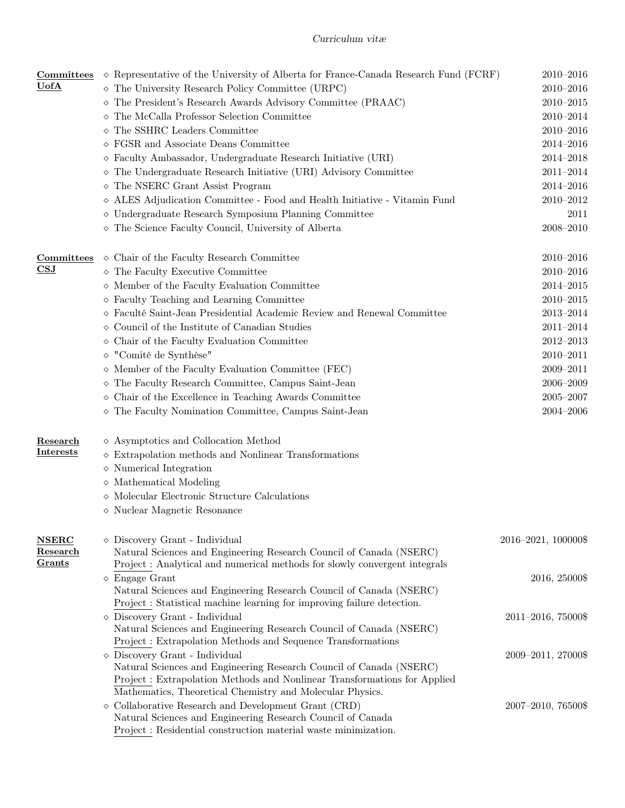| Committees                | $\diamond$ Representative of the University of Alberta for France-Canada Research Fund (FCRF)                                                  | $2010 - 2016$       |
|---------------------------|------------------------------------------------------------------------------------------------------------------------------------------------|---------------------|
| $\underline{\text{UofA}}$ | $\diamond$ The University Research Policy Committee (URPC)                                                                                     | $2010 - 2016$       |
|                           | The President's Research Awards Advisory Committee (PRAAC)<br>♦                                                                                | $2010 - 2015$       |
|                           | The McCalla Professor Selection Committee                                                                                                      | 2010-2014           |
|                           | The SSHRC Leaders Committee<br>♦                                                                                                               | $2010 - 2016$       |
|                           | $\diamond$ FGSR and Associate Deans Committee                                                                                                  | $2014 - 2016$       |
|                           | $\diamond$ Faculty Ambassador, Undergraduate Research Initiative (URI)                                                                         | $2014 - 2018$       |
|                           | The Undergraduate Research Initiative (URI) Advisory Committee<br>◇                                                                            | $2011 - 2014$       |
|                           | $\diamond$ The NSERC Grant Assist Program                                                                                                      | $2014 - 2016$       |
|                           | ◇ ALES Adjudication Committee - Food and Health Initiative - Vitamin Fund                                                                      | $2010 - 2012$       |
|                           | $\diamond$ Undergraduate Research Symposium Planning Committee                                                                                 | 2011                |
|                           | The Science Faculty Council, University of Alberta                                                                                             | $2008 - 2010$       |
| Committees                | $\diamond$ Chair of the Faculty Research Committee                                                                                             | $2010 - 2016$       |
| $\overline{\mathbf{CSJ}}$ | $\diamond$ The Faculty Executive Committee                                                                                                     | $2010 - 2016$       |
|                           | $\diamond$ Member of the Faculty Evaluation Committee                                                                                          | $2014 - 2015$       |
|                           | $\diamond$ Faculty Teaching and Learning Committee                                                                                             | $2010 - 2015$       |
|                           | $\diamond$ Faculté Saint-Jean Presidential Academic Review and Renewal Committee                                                               | $2013 - 2014$       |
|                           | $\diamond$ Council of the Institute of Canadian Studies                                                                                        | $2011 - 2014$       |
|                           | Chair of the Faculty Evaluation Committee                                                                                                      | $2012 - 2013$       |
|                           | "Comité de Synthèse"<br>♦                                                                                                                      | $2010 - 2011$       |
|                           | $\diamond$ Member of the Faculty Evaluation Committee (FEC)                                                                                    | $2009 - 2011$       |
|                           | The Faculty Research Committee, Campus Saint-Jean<br>♦                                                                                         | $2006 - 2009$       |
|                           | $\diamond$ Chair of the Excellence in Teaching Awards Committee                                                                                | $2005 - 2007$       |
|                           | The Faculty Nomination Committee, Campus Saint-Jean                                                                                            | $2004 - 2006$       |
| Research                  | $\diamond$ Asymptotics and Collocation Method                                                                                                  |                     |
| <b>Interests</b>          | $\diamond$ Extrapolation methods and Nonlinear Transformations                                                                                 |                     |
|                           | $\diamond$ Numerical Integration                                                                                                               |                     |
|                           | $\diamond$ Mathematical Modeling                                                                                                               |                     |
|                           | $\diamond$ Molecular Electronic Structure Calculations                                                                                         |                     |
|                           | $\diamond$ Nuclear Magnetic Resonance                                                                                                          |                     |
| <b>NSERC</b>              | $\diamond$ Discovery Grant - Individual                                                                                                        | 2016-2021, 100000\$ |
| Research                  | Natural Sciences and Engineering Research Council of Canada (NSERC)                                                                            |                     |
| Grants                    | Project: Analytical and numerical methods for slowly convergent integrals                                                                      |                     |
|                           | $\Diamond$ Engage Grant                                                                                                                        | 2016, 25000\$       |
|                           | Natural Sciences and Engineering Research Council of Canada (NSERC)<br>Project : Statistical machine learning for improving failure detection. |                     |
|                           | $\diamond$ Discovery Grant - Individual                                                                                                        | 2011-2016, 75000\$  |
|                           | Natural Sciences and Engineering Research Council of Canada (NSERC)<br>Project: Extrapolation Methods and Sequence Transformations             |                     |
|                           | $\diamond$ Discovery Grant - Individual                                                                                                        | 2009-2011, 27000\$  |
|                           | Natural Sciences and Engineering Research Council of Canada (NSERC)                                                                            |                     |
|                           | Project: Extrapolation Methods and Nonlinear Transformations for Applied<br>Mathematics, Theoretical Chemistry and Molecular Physics.          |                     |
|                           | $\diamond$ Collaborative Research and Development Grant (CRD)                                                                                  | 2007-2010, 76500\$  |
|                           | Natural Sciences and Engineering Research Council of Canada                                                                                    |                     |
|                           | Project : Residential construction material waste minimization.                                                                                |                     |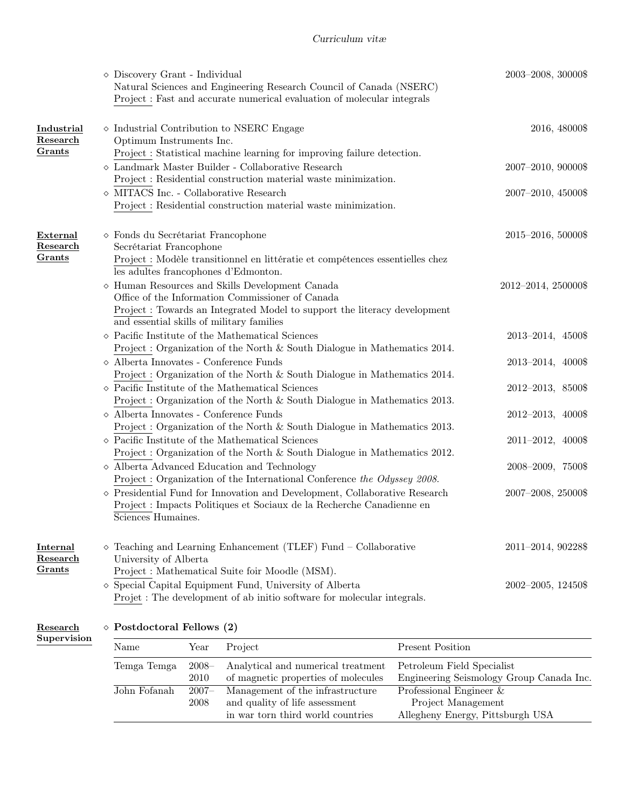|                                |                                                                                                                  | $\diamond$ Discovery Grant - Individual                                                                                                                                                                              |      | Natural Sciences and Engineering Research Council of Canada (NSERC)<br>Project : Fast and accurate numerical evaluation of molecular integrals                                                            |                            | 2003-2008, 30000\$                       |
|--------------------------------|------------------------------------------------------------------------------------------------------------------|----------------------------------------------------------------------------------------------------------------------------------------------------------------------------------------------------------------------|------|-----------------------------------------------------------------------------------------------------------------------------------------------------------------------------------------------------------|----------------------------|------------------------------------------|
| Industrial<br>Research         |                                                                                                                  | Optimum Instruments Inc.                                                                                                                                                                                             |      | $\diamond$ Industrial Contribution to NSERC Engage                                                                                                                                                        |                            | 2016, 48000\$                            |
| Grants                         |                                                                                                                  |                                                                                                                                                                                                                      |      | Project : Statistical machine learning for improving failure detection.<br>$\diamond$ Landmark Master Builder - Collaborative Research<br>Project : Residential construction material waste minimization. |                            | 2007-2010, 90000\$                       |
|                                |                                                                                                                  | $\diamond$ MITACS Inc. - Collaborative Research                                                                                                                                                                      |      | Project : Residential construction material waste minimization.                                                                                                                                           |                            | 2007-2010, 45000\$                       |
| External<br>Research<br>Grants |                                                                                                                  | ◇ Fonds du Secrétariat Francophone<br>Secrétariat Francophone<br>les adultes francophones d'Edmonton.                                                                                                                |      | Project : Modèle transitionnel en littératie et compétences essentielles chez                                                                                                                             |                            | 2015-2016, 50000\$                       |
|                                |                                                                                                                  | and essential skills of military families                                                                                                                                                                            |      | $\diamond$ Human Resources and Skills Development Canada<br>Office of the Information Commissioner of Canada<br>Project : Towards an Integrated Model to support the literacy development                 |                            | 2012-2014, 250000\$                      |
|                                |                                                                                                                  |                                                                                                                                                                                                                      |      | $\diamond$ Pacific Institute of the Mathematical Sciences<br>Project: Organization of the North & South Dialogue in Mathematics 2014.                                                                     |                            | 2013-2014, 4500\$                        |
|                                |                                                                                                                  | $\diamond$ Alberta Innovates - Conference Funds                                                                                                                                                                      |      | Project: Organization of the North & South Dialogue in Mathematics 2014.                                                                                                                                  |                            | 2013-2014, 4000\$                        |
|                                |                                                                                                                  |                                                                                                                                                                                                                      |      | $\diamond$ Pacific Institute of the Mathematical Sciences                                                                                                                                                 |                            | 2012-2013, 8500\$                        |
|                                |                                                                                                                  | Project: Organization of the North $\&$ South Dialogue in Mathematics 2013.<br>$\diamond$ Alberta Innovates - Conference Funds                                                                                       |      | 2012-2013, 4000\$                                                                                                                                                                                         |                            |                                          |
|                                |                                                                                                                  | Project: Organization of the North $\&$ South Dialogue in Mathematics 2013.<br>$\diamond$ Pacific Institute of the Mathematical Sciences<br>Project: Organization of the North & South Dialogue in Mathematics 2012. |      | 2011-2012, 4000\$                                                                                                                                                                                         |                            |                                          |
|                                |                                                                                                                  | $\diamond$ Alberta Advanced Education and Technology<br>Project : Organization of the International Conference the Odyssey 2008.                                                                                     |      | 2008-2009, 7500\$                                                                                                                                                                                         |                            |                                          |
|                                |                                                                                                                  | $\diamond$ Presidential Fund for Innovation and Development, Collaborative Research<br>Project : Impacts Politiques et Sociaux de la Recherche Canadienne en<br>Sciences Humaines.                                   |      | 2007-2008, 25000\$                                                                                                                                                                                        |                            |                                          |
| Internal<br>Research<br>Grants |                                                                                                                  | University of Alberta                                                                                                                                                                                                |      | $\diamond$ Teaching and Learning Enhancement (TLEF) Fund – Collaborative<br>Project: Mathematical Suite foir Moodle (MSM).                                                                                |                            | 2011-2014, 90228\$                       |
|                                |                                                                                                                  |                                                                                                                                                                                                                      |      | $\diamond$ Special Capital Equipment Fund, University of Alberta<br>Projet: The development of ab initio software for molecular integrals.                                                                |                            | $2002 - 2005$ , 12450\$                  |
| Research                       |                                                                                                                  | $\diamond$ Postdoctoral Fellows (2)                                                                                                                                                                                  |      |                                                                                                                                                                                                           |                            |                                          |
| Supervision                    |                                                                                                                  | Name                                                                                                                                                                                                                 | Year | Project                                                                                                                                                                                                   | <b>Present Position</b>    |                                          |
|                                | Temga Temga<br>$2008 -$<br>Analytical and numerical treatment<br>$2010\,$<br>of magnetic properties of molecules |                                                                                                                                                                                                                      |      |                                                                                                                                                                                                           | Petroleum Field Specialist | Engineering Seismology Group Canada Inc. |

John Fofanah 2007– Management of the infrastructure Professional Engineer &

2008 and quality of life assessment Project Management

in war torn third world countries Allegheny Energy, Pittsburgh USA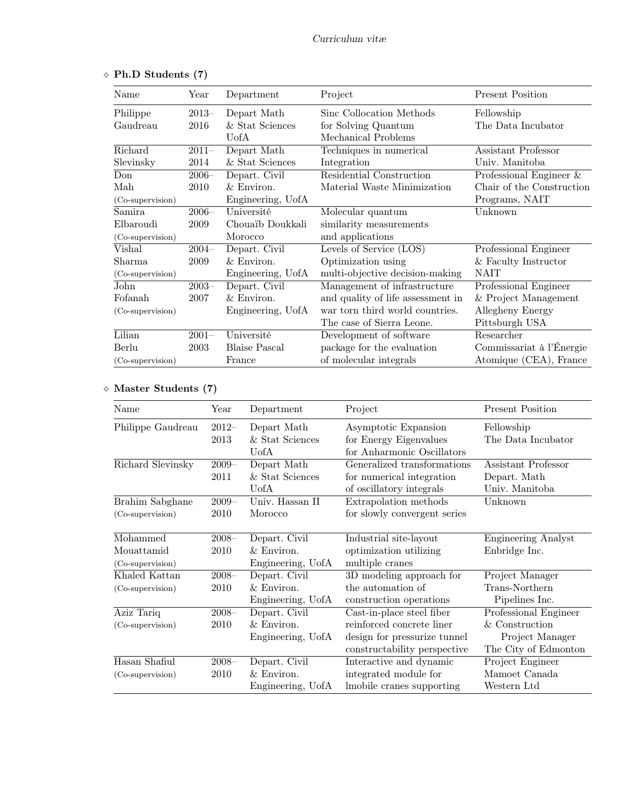| Name                       | Year     | Department           | Project                           | <b>Present Position</b>   |
|----------------------------|----------|----------------------|-----------------------------------|---------------------------|
| Philippe                   | $2013-$  | Depart Math          | Sinc Collocation Methods          | Fellowship                |
| Gaudreau                   | 2016     | & Stat Sciences      | for Solving Quantum               | The Data Incubator        |
|                            |          | UofA                 | Mechanical Problems               |                           |
| Richard                    | $2011-$  | Depart Math          | Techniques in numerical           | Assistant Professor       |
| Slevinsky                  | 2014     | & Stat Sciences      | Integration                       | Univ. Manitoba            |
| Don                        | $2006 -$ | Depart. Civil        | Residential Construction          | Professional Engineer $&$ |
| Mah                        | 2010     | & Environ.           | Material Waste Minimization       | Chair of the Construction |
| (Co-supervision)           |          | Engineering, UofA    |                                   | Programs, NAIT            |
| Samira                     | $2006-$  | Université           | Molecular quantum                 | Unknown                   |
| Elbaroudi                  | 2009     | Chouaïb Doukkali     | similarity measurements           |                           |
| (Co-supervision)           |          | Morocco              | and applications                  |                           |
| Vishal                     | $2004 -$ | Depart. Civil        | Levels of Service (LOS)           | Professional Engineer     |
| Sharma                     | 2009     | & Environ.           | Optimization using                | & Faculty Instructor      |
| (Co-supervision)           |          | Engineering, UofA    | multi-objective decision-making   | NAIT                      |
| John                       | $2003 -$ | Depart. Civil        | Management of infrastructure      | Professional Engineer     |
| Fofanah                    | 2007     | & Environ.           | and quality of life assessment in | & Project Management      |
| (Co-supervision)           |          | Engineering, UofA    | war torn third world countries.   | Allegheny Energy          |
|                            |          |                      | The case of Sierra Leone.         | Pittsburgh USA            |
| $\overline{\text{Lilian}}$ | $2001 -$ | Université           | Development of software           | Researcher                |
| Berlu                      | 2003     | <b>Blaise Pascal</b> | package for the evaluation        | Commissariat à l'Énergie  |
| (Co-supervision)           |          | France               | of molecular integrals            | Atomique (CEA), France    |

|  |  | $\diamond$ Ph.D Students (7) |  |
|--|--|------------------------------|--|
|--|--|------------------------------|--|

# Master Students (7)

| Name                                       | Year             | Department                                         | Project                                                                                                                | <b>Present Position</b>                                                            |
|--------------------------------------------|------------------|----------------------------------------------------|------------------------------------------------------------------------------------------------------------------------|------------------------------------------------------------------------------------|
| Philippe Gaudreau                          | $2012-$<br>2013  | Depart Math<br>& Stat Sciences<br>UofA             | Asymptotic Expansion<br>for Energy Eigenvalues<br>for Anharmonic Oscillators                                           | Fellowship<br>The Data Incubator                                                   |
| Richard Slevinsky                          | $2009 -$<br>2011 | Depart Math<br>& Stat Sciences<br>UofA             | Generalized transformations<br>for numerical integration<br>of oscillatory integrals                                   | Assistant Professor<br>Depart. Math<br>Univ. Manitoba                              |
| Brahim Sabghane<br>(Co-supervision)        | $2009 -$<br>2010 | Univ. Hassan II<br>Morocco                         | Extrapolation methods<br>for slowly convergent series                                                                  | Unknown                                                                            |
| Mohammed<br>Mouattamid<br>(Co-supervision) | $2008 -$<br>2010 | Depart. Civil<br>$&$ Environ.<br>Engineering, UofA | Industrial site-layout<br>optimization utilizing<br>multiple cranes                                                    | <b>Engineering Analyst</b><br>Enbridge Inc.                                        |
| Khaled Kattan<br>(Co-supervision)          | $2008 -$<br>2010 | Depart. Civil<br>& Environ.<br>Engineering, UofA   | 3D modeling approach for<br>the automation of<br>construction operations                                               | Project Manager<br>Trans-Northern<br>Pipelines Inc.                                |
| Aziz Tariq<br>(Co-supervision)             | $2008 -$<br>2010 | Depart. Civil<br>& Environ.<br>Engineering, UofA   | Cast-in-place steel fiber<br>reinforced concrete liner<br>design for pressurize tunnel<br>constructability perspective | Professional Engineer<br>& Construction<br>Project Manager<br>The City of Edmonton |
| Hasan Shafiul<br>(Co-supervision)          | $2008 -$<br>2010 | Depart. Civil<br>$&$ Environ.<br>Engineering, UofA | Interactive and dynamic<br>integrated module for<br>lmobile cranes supporting                                          | Project Engineer<br>Mamoet Canada<br>Western Ltd                                   |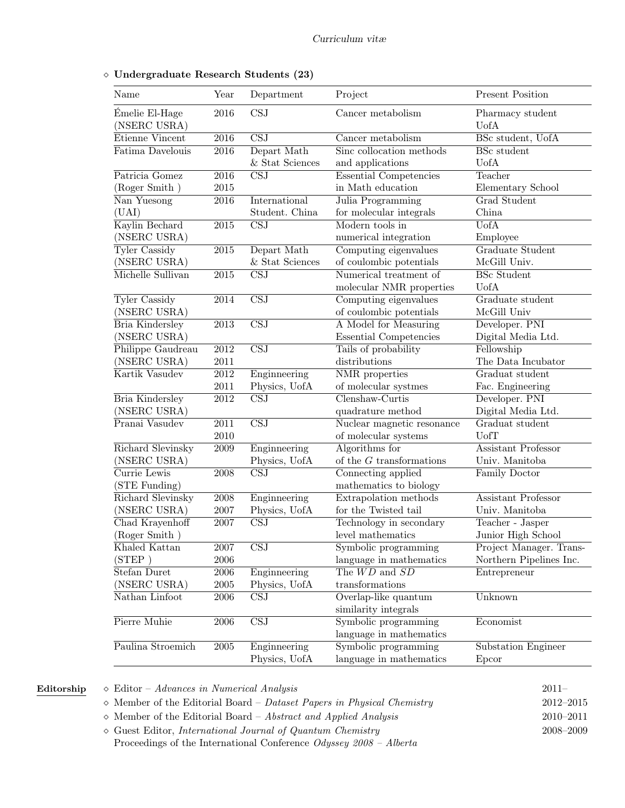| Name                           | Year              | Department                               | Project                                 | <b>Present Position</b>              |
|--------------------------------|-------------------|------------------------------------------|-----------------------------------------|--------------------------------------|
| Émelie El-Hage<br>(NSERC USRA) | 2016              | <b>CSJ</b>                               | Cancer metabolism                       | Pharmacy student<br><b>U</b> ofA     |
| Etienne Vincent                | $\overline{2016}$ | $\overline{\text{CSJ}}$                  | Cancer metabolism                       | BSc student, UofA                    |
| Fatima Davelouis               | 2016              | Depart Math                              | Sinc collocation methods                | <b>BSc</b> student                   |
|                                |                   | & Stat Sciences                          | and applications                        | <b>U</b> ofA                         |
| Patricia Gomez                 | 2016              | $\overline{\text{CSJ}}$                  | <b>Essential Competencies</b>           | Teacher                              |
| (Roger Smith)                  | 2015              |                                          | in Math education                       | Elementary School                    |
| Nan Yuesong                    | 2016              | International                            | Julia Programming                       | <b>Grad Student</b>                  |
| (UAI)                          |                   | Student. China                           | for molecular integrals                 | China                                |
| Kaylin Bechard                 | $\overline{2015}$ | $\overline{\text{CSJ}}$                  | Modern tools in                         | <b>UofA</b>                          |
| (NSERC USRA)                   |                   |                                          | numerical integration                   | Employee                             |
| Tyler Cassidy                  | $\overline{2015}$ | Depart Math                              | Computing eigenvalues                   | Graduate Student                     |
| (NSERC USRA)                   |                   | & Stat Sciences                          | of coulombic potentials                 | McGill Univ.                         |
| Michelle Sullivan              | $\overline{2015}$ | $\overline{\text{CSJ}}$                  | Numerical treatment of                  | <b>BSc Student</b>                   |
|                                |                   |                                          | molecular NMR properties                | <b>U</b> ofA                         |
| Tyler Cassidy                  | $\overline{2014}$ | $\overline{\text{CSJ}}$                  | Computing eigenvalues                   | Graduate student                     |
| (NSERC USRA)                   |                   |                                          | of coulombic potentials                 | McGill Univ                          |
| Bria Kindersley                | $\overline{2013}$ | $\overline{\text{CSJ}}$                  | A Model for Measuring                   | Developer. PNI                       |
| (NSERC USRA)                   |                   |                                          | <b>Essential Competencies</b>           | Digital Media Ltd.                   |
| Philippe Gaudreau              | 2012              | $\overline{\text{CSJ}}$                  | Tails of probability                    | Fellowship                           |
| (NSERC USRA)                   | 2011              |                                          | distributions                           | The Data Incubator                   |
| Kartik Vasudev                 | 2012              | Enginneering                             | <b>NMR</b> properties                   | Graduat student                      |
| Bria Kindersley                | 2011<br>2012      | Physics, UofA<br>$\overline{\text{CSJ}}$ | of molecular systmes<br>Clenshaw-Curtis | Fac. Engineering                     |
| (NSERC USRA)                   |                   |                                          | quadrature method                       | Developer. PNI<br>Digital Media Ltd. |
| Pranai Vasudev                 | 2011              | $\overline{\text{CSJ}}$                  | Nuclear magnetic resonance              | Graduat student                      |
|                                | $2010\,$          |                                          | of molecular systems                    | UofT                                 |
| Richard Slevinsky              | $\,2009\,$        | Enginneering                             | Algorithms for                          | Assistant Professor                  |
| (NSERC USRA)                   |                   | Physics, UofA                            | of the $G$ transformations              | Univ. Manitoba                       |
| Currie Lewis                   | 2008              | $\overline{\text{CSJ}}$                  | Connecting applied                      | <b>Family Doctor</b>                 |
| (STE Funding)                  |                   |                                          | mathematics to biology                  |                                      |
| Richard Slevinsky              | 2008              | Enginneering                             | Extrapolation methods                   | <b>Assistant Professor</b>           |
| (NSERC USRA)                   | 2007              | Physics, UofA                            | for the Twisted tail                    | Univ. Manitoba                       |
| Chad Krayenhoff                | 2007              | $\overline{\text{CSJ}}$                  | Technology in secondary                 | Teacher - Jasper                     |
| (Roger Smith)                  |                   |                                          | level mathematics                       | Junior High School                   |
| Khaled Kattan                  | 2007              | $\overline{\text{CSJ}}$                  | Symbolic programming                    | Project Manager. Trans-              |
| (STEP)                         | 2006              |                                          | language in mathematics                 | Northern Pipelines Inc.              |
| Stefan Duret                   | 2006              | Enginneering                             | The $WD$ and $SD$                       | Entrepreneur                         |
| (NSERC USRA)                   | 2005              | Physics, UofA                            | transformations                         |                                      |
| Nathan Linfoot                 | 2006              | $\overline{\text{CSJ}}$                  | Overlap-like quantum                    | Unknown                              |
|                                |                   |                                          | similarity integrals                    |                                      |
| Pierre Muhie                   | 2006              | $\overline{\text{CSJ}}$                  | Symbolic programming                    | Economist                            |
|                                |                   |                                          | language in mathematics                 |                                      |
| Paulina Stroemich              | 2005              | Enginneering                             | Symbolic programming                    | Substation Engineer                  |
|                                |                   | Physics, UofA                            | language in mathematics                 | Epcor                                |
|                                |                   |                                          |                                         |                                      |

## Undergraduate Research Students (23)

- $Editionship \quad \diamond$  Editor Advances in Numerical Analysis 2011–  $\diamond$  Member of the Editorial Board – Dataset Papers in Physical Chemistry 2012–2015
	- $\diamond$  Member of the Editorial Board Abstract and Applied Analysis 2010–2011

 Guest Editor, International Journal of Quantum Chemistry 2008–2009 Proceedings of the International Conference Odyssey 2008 – Alberta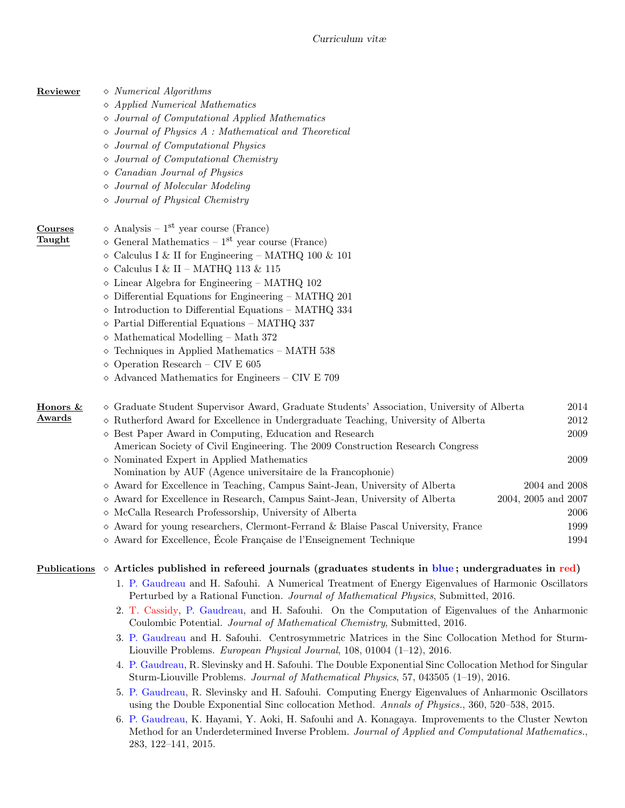- **Reviewer**  $\diamond$  *Numerical Algorithms* 
	- Applied Numerical Mathematics
	- Journal of Computational Applied Mathematics
	- Journal of Physics A : Mathematical and Theoretical
	- Journal of Computational Physics
	- Journal of Computational Chemistry
	- Canadian Journal of Physics
	- Journal of Molecular Modeling
	- Journal of Physical Chemistry

# **Courses**  $\Diamond$  Analysis – 1<sup>st</sup> year course (France)

- **Taught**  $\diamond$  General Mathematics 1<sup>st</sup> year course (France)
	- $\circ$  Calculus I & II for Engineering MATHQ 100 & 101
	- $\diamond$  Calculus I & II MATHQ 113 & 115
	- $\Diamond$  Linear Algebra for Engineering MATHQ 102
	- $\diamond$  Differential Equations for Engineering MATHQ 201
	- $\diamond$  Introduction to Differential Equations MATHQ 334
	- $\diamond$  Partial Differential Equations MATHQ 337
	- $\diamond$  Mathematical Modelling Math 372
	- $\diamond$  Techniques in Applied Mathematics MATH 538
	- Operation Research CIV E 605
	- $\diamond$  Advanced Mathematics for Engineers CIV E 709

| Honors & | $\diamond$ Graduate Student Supervisor Award, Graduate Students' Association, University of Alberta | 2014                |
|----------|-----------------------------------------------------------------------------------------------------|---------------------|
| Awards   | $\diamond$ Rutherford Award for Excellence in Undergraduate Teaching, University of Alberta         | 2012                |
|          | $\diamond$ Best Paper Award in Computing, Education and Research                                    | 2009                |
|          | American Society of Civil Engineering. The 2009 Construction Research Congress                      |                     |
|          | $\diamond$ Nominated Expert in Applied Mathematics                                                  | 2009                |
|          | Nomination by AUF (Agence universitaire de la Francophonie)                                         |                     |
|          | $\diamond$ Award for Excellence in Teaching, Campus Saint-Jean, University of Alberta               | 2004 and 2008       |
|          | $\diamond$ Award for Excellence in Research, Campus Saint-Jean, University of Alberta               | 2004, 2005 and 2007 |
|          | $\diamond$ McCalla Research Professorship, University of Alberta                                    | 2006                |
|          | $\diamond$ Award for young researchers, Clermont-Ferrand & Blaise Pascal University, France         | 1999                |
|          | $\diamond$ Award for Excellence, École Française de l'Enseignement Technique                        | 1994                |
|          |                                                                                                     |                     |

#### Publications  $\Diamond$  Articles published in refereed journals (graduates students in blue; undergraduates in red)

- 1. P. Gaudreau and H. Safouhi. A Numerical Treatment of Energy Eigenvalues of Harmonic Oscillators Perturbed by a Rational Function. Journal of Mathematical Physics, Submitted, 2016.
- 2. T. Cassidy, P. Gaudreau, and H. Safouhi. On the Computation of Eigenvalues of the Anharmonic Coulombic Potential. Journal of Mathematical Chemistry, Submitted, 2016.
- 3. P. Gaudreau and H. Safouhi. Centrosymmetric Matrices in the Sinc Collocation Method for Sturm-Liouville Problems. European Physical Journal, 108, 01004 (1–12), 2016.
- 4. P. Gaudreau, R. Slevinsky and H. Safouhi. The Double Exponential Sinc Collocation Method for Singular Sturm-Liouville Problems. Journal of Mathematical Physics, 57, 043505 (1–19), 2016.
- 5. P. Gaudreau, R. Slevinsky and H. Safouhi. Computing Energy Eigenvalues of Anharmonic Oscillators using the Double Exponential Sinc collocation Method. Annals of Physics., 360, 520–538, 2015.
- 6. P. Gaudreau, K. Hayami, Y. Aoki, H. Safouhi and A. Konagaya. Improvements to the Cluster Newton Method for an Underdetermined Inverse Problem. Journal of Applied and Computational Mathematics., 283, 122–141, 2015.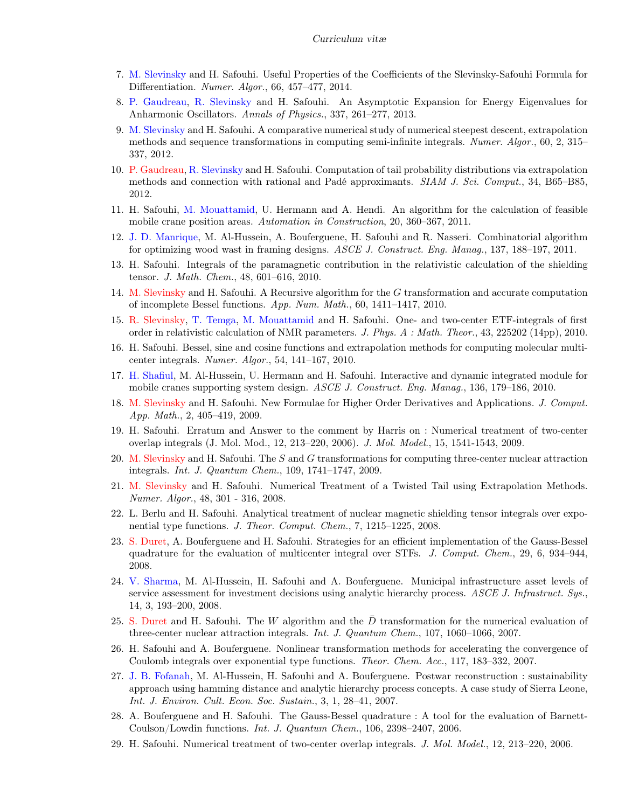- 7. M. Slevinsky and H. Safouhi. Useful Properties of the Coefficients of the Slevinsky-Safouhi Formula for Differentiation. Numer. Algor., 66, 457–477, 2014.
- 8. P. Gaudreau, R. Slevinsky and H. Safouhi. An Asymptotic Expansion for Energy Eigenvalues for Anharmonic Oscillators. Annals of Physics., 337, 261–277, 2013.
- 9. M. Slevinsky and H. Safouhi. A comparative numerical study of numerical steepest descent, extrapolation methods and sequence transformations in computing semi-infinite integrals. Numer. Algor., 60, 2, 315– 337, 2012.
- 10. P. Gaudreau, R. Slevinsky and H. Safouhi. Computation of tail probability distributions via extrapolation methods and connection with rational and Padé approximants. SIAM J. Sci. Comput., 34, B65–B85, 2012.
- 11. H. Safouhi, M. Mouattamid, U. Hermann and A. Hendi. An algorithm for the calculation of feasible mobile crane position areas. Automation in Construction, 20, 360–367, 2011.
- 12. J. D. Manrique, M. Al-Hussein, A. Bouferguene, H. Safouhi and R. Nasseri. Combinatorial algorithm for optimizing wood wast in framing designs. ASCE J. Construct. Eng. Manag., 137, 188–197, 2011.
- 13. H. Safouhi. Integrals of the paramagnetic contribution in the relativistic calculation of the shielding tensor. J. Math. Chem., 48, 601–616, 2010.
- 14. M. Slevinsky and H. Safouhi. A Recursive algorithm for the G transformation and accurate computation of incomplete Bessel functions. App. Num. Math., 60, 1411–1417, 2010.
- 15. R. Slevinsky, T. Temga, M. Mouattamid and H. Safouhi. One- and two-center ETF-integrals of first order in relativistic calculation of NMR parameters. J. Phys. A : Math. Theor., 43, 225202 (14pp), 2010.
- 16. H. Safouhi. Bessel, sine and cosine functions and extrapolation methods for computing molecular multicenter integrals. Numer. Algor., 54, 141–167, 2010.
- 17. H. Shafiul, M. Al-Hussein, U. Hermann and H. Safouhi. Interactive and dynamic integrated module for mobile cranes supporting system design. ASCE J. Construct. Eng. Manag., 136, 179–186, 2010.
- 18. M. Slevinsky and H. Safouhi. New Formulae for Higher Order Derivatives and Applications. J. Comput. App. Math., 2, 405–419, 2009.
- 19. H. Safouhi. Erratum and Answer to the comment by Harris on : Numerical treatment of two-center overlap integrals (J. Mol. Mod., 12, 213–220, 2006). J. Mol. Model., 15, 1541-1543, 2009.
- 20. M. Slevinsky and H. Safouhi. The S and G transformations for computing three-center nuclear attraction integrals. Int. J. Quantum Chem., 109, 1741–1747, 2009.
- 21. M. Slevinsky and H. Safouhi. Numerical Treatment of a Twisted Tail using Extrapolation Methods. Numer. Algor., 48, 301 - 316, 2008.
- 22. L. Berlu and H. Safouhi. Analytical treatment of nuclear magnetic shielding tensor integrals over exponential type functions. J. Theor. Comput. Chem., 7, 1215–1225, 2008.
- 23. S. Duret, A. Bouferguene and H. Safouhi. Strategies for an efficient implementation of the Gauss-Bessel quadrature for the evaluation of multicenter integral over STFs. J. Comput. Chem., 29, 6, 934–944, 2008.
- 24. V. Sharma, M. Al-Hussein, H. Safouhi and A. Bouferguene. Municipal infrastructure asset levels of service assessment for investment decisions using analytic hierarchy process. ASCE J. Infrastruct. Sys., 14, 3, 193–200, 2008.
- 25. S. Duret and H. Safouhi. The W algorithm and the  $\bar{D}$  transformation for the numerical evaluation of three-center nuclear attraction integrals. Int. J. Quantum Chem., 107, 1060–1066, 2007.
- 26. H. Safouhi and A. Bouferguene. Nonlinear transformation methods for accelerating the convergence of Coulomb integrals over exponential type functions. Theor. Chem. Acc., 117, 183–332, 2007.
- 27. J. B. Fofanah, M. Al-Hussein, H. Safouhi and A. Bouferguene. Postwar reconstruction : sustainability approach using hamming distance and analytic hierarchy process concepts. A case study of Sierra Leone, Int. J. Environ. Cult. Econ. Soc. Sustain., 3, 1, 28–41, 2007.
- 28. A. Bouferguene and H. Safouhi. The Gauss-Bessel quadrature : A tool for the evaluation of Barnett-Coulson/Lowdin functions. Int. J. Quantum Chem., 106, 2398–2407, 2006.
- 29. H. Safouhi. Numerical treatment of two-center overlap integrals. J. Mol. Model., 12, 213–220, 2006.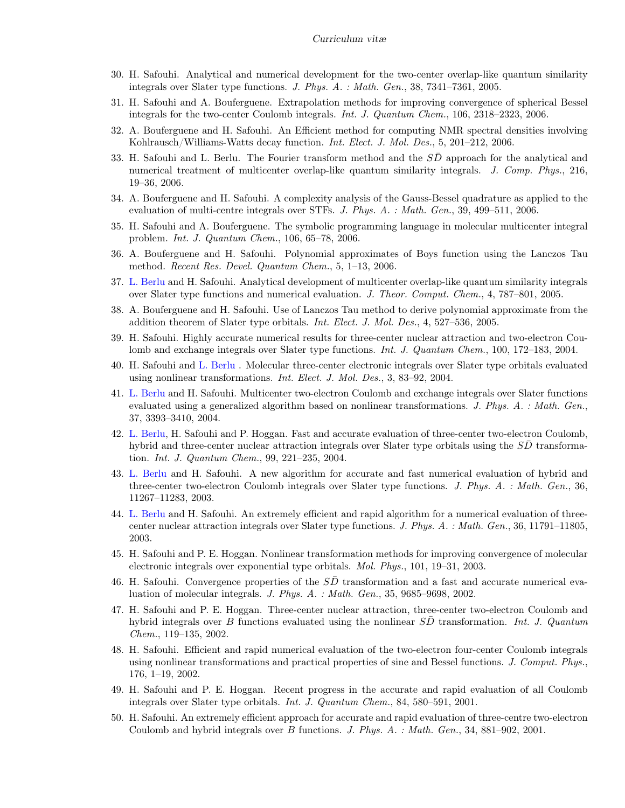- 30. H. Safouhi. Analytical and numerical development for the two-center overlap-like quantum similarity integrals over Slater type functions. J. Phys. A. : Math. Gen., 38, 7341–7361, 2005.
- 31. H. Safouhi and A. Bouferguene. Extrapolation methods for improving convergence of spherical Bessel integrals for the two-center Coulomb integrals. Int. J. Quantum Chem., 106, 2318–2323, 2006.
- 32. A. Bouferguene and H. Safouhi. An Efficient method for computing NMR spectral densities involving Kohlrausch/Williams-Watts decay function. Int. Elect. J. Mol. Des., 5, 201–212, 2006.
- 33. H. Safouhi and L. Berlu. The Fourier transform method and the SD approach for the analytical and numerical treatment of multicenter overlap-like quantum similarity integrals. J. Comp. Phys., 216, 19–36, 2006.
- 34. A. Bouferguene and H. Safouhi. A complexity analysis of the Gauss-Bessel quadrature as applied to the evaluation of multi-centre integrals over STFs. J. Phys. A. : Math. Gen., 39, 499–511, 2006.
- 35. H. Safouhi and A. Bouferguene. The symbolic programming language in molecular multicenter integral problem. Int. J. Quantum Chem., 106, 65–78, 2006.
- 36. A. Bouferguene and H. Safouhi. Polynomial approximates of Boys function using the Lanczos Tau method. Recent Res. Devel. Quantum Chem., 5, 1–13, 2006.
- 37. L. Berlu and H. Safouhi. Analytical development of multicenter overlap-like quantum similarity integrals over Slater type functions and numerical evaluation. J. Theor. Comput. Chem., 4, 787–801, 2005.
- 38. A. Bouferguene and H. Safouhi. Use of Lanczos Tau method to derive polynomial approximate from the addition theorem of Slater type orbitals. Int. Elect. J. Mol. Des., 4, 527–536, 2005.
- 39. H. Safouhi. Highly accurate numerical results for three-center nuclear attraction and two-electron Coulomb and exchange integrals over Slater type functions. *Int. J. Quantum Chem.*, 100, 172–183, 2004.
- 40. H. Safouhi and L. Berlu . Molecular three-center electronic integrals over Slater type orbitals evaluated using nonlinear transformations. Int. Elect. J. Mol. Des., 3, 83–92, 2004.
- 41. L. Berlu and H. Safouhi. Multicenter two-electron Coulomb and exchange integrals over Slater functions evaluated using a generalized algorithm based on nonlinear transformations. J. Phys. A. : Math. Gen., 37, 3393–3410, 2004.
- 42. L. Berlu, H. Safouhi and P. Hoggan. Fast and accurate evaluation of three-center two-electron Coulomb, hybrid and three-center nuclear attraction integrals over Slater type orbitals using the SD transformation. Int. J. Quantum Chem., 99, 221–235, 2004.
- 43. L. Berlu and H. Safouhi. A new algorithm for accurate and fast numerical evaluation of hybrid and three-center two-electron Coulomb integrals over Slater type functions. J. Phys. A. : Math. Gen., 36, 11267–11283, 2003.
- 44. L. Berlu and H. Safouhi. An extremely efficient and rapid algorithm for a numerical evaluation of threecenter nuclear attraction integrals over Slater type functions. J. Phys. A. : Math. Gen., 36, 11791–11805, 2003.
- 45. H. Safouhi and P. E. Hoggan. Nonlinear transformation methods for improving convergence of molecular electronic integrals over exponential type orbitals. Mol. Phys., 101, 19–31, 2003.
- 46. H. Safouhi. Convergence properties of the  $SD$  transformation and a fast and accurate numerical evaluation of molecular integrals. J. Phys. A. : Math. Gen., 35, 9685–9698, 2002.
- 47. H. Safouhi and P. E. Hoggan. Three-center nuclear attraction, three-center two-electron Coulomb and hybrid integrals over B functions evaluated using the nonlinear  $S\overline{D}$  transformation. Int. J. Quantum Chem., 119–135, 2002.
- 48. H. Safouhi. Efficient and rapid numerical evaluation of the two-electron four-center Coulomb integrals using nonlinear transformations and practical properties of sine and Bessel functions. J. Comput. Phys., 176, 1–19, 2002.
- 49. H. Safouhi and P. E. Hoggan. Recent progress in the accurate and rapid evaluation of all Coulomb integrals over Slater type orbitals. Int. J. Quantum Chem., 84, 580–591, 2001.
- 50. H. Safouhi. An extremely efficient approach for accurate and rapid evaluation of three-centre two-electron Coulomb and hybrid integrals over B functions. J. Phys. A. : Math. Gen., 34, 881–902, 2001.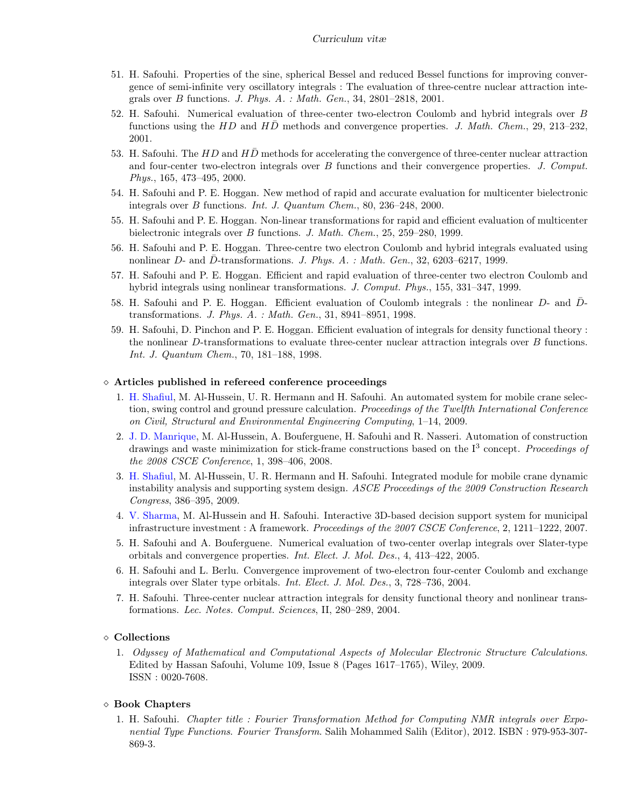- 51. H. Safouhi. Properties of the sine, spherical Bessel and reduced Bessel functions for improving convergence of semi-infinite very oscillatory integrals : The evaluation of three-centre nuclear attraction integrals over B functions. J. Phys. A. : Math. Gen., 34, 2801–2818, 2001.
- 52. H. Safouhi. Numerical evaluation of three-center two-electron Coulomb and hybrid integrals over B functions using the HD and HD methods and convergence properties. J. Math. Chem., 29, 213–232, 2001.
- 53. H. Safouhi. The  $HD$  and  $H\overline{D}$  methods for accelerating the convergence of three-center nuclear attraction and four-center two-electron integrals over B functions and their convergence properties. J. Comput. Phys., 165, 473–495, 2000.
- 54. H. Safouhi and P. E. Hoggan. New method of rapid and accurate evaluation for multicenter bielectronic integrals over B functions. Int. J. Quantum Chem., 80, 236–248, 2000.
- 55. H. Safouhi and P. E. Hoggan. Non-linear transformations for rapid and efficient evaluation of multicenter bielectronic integrals over B functions. J. Math. Chem., 25, 259–280, 1999.
- 56. H. Safouhi and P. E. Hoggan. Three-centre two electron Coulomb and hybrid integrals evaluated using nonlinear  $D$ - and  $\bar{D}$ -transformations. J. Phys. A. : Math. Gen., 32, 6203–6217, 1999.
- 57. H. Safouhi and P. E. Hoggan. Efficient and rapid evaluation of three-center two electron Coulomb and hybrid integrals using nonlinear transformations. J. Comput. Phys., 155, 331–347, 1999.
- 58. H. Safouhi and P. E. Hoggan. Efficient evaluation of Coulomb integrals : the nonlinear D- and Dtransformations. J. Phys. A. : Math. Gen., 31, 8941–8951, 1998.
- 59. H. Safouhi, D. Pinchon and P. E. Hoggan. Efficient evaluation of integrals for density functional theory : the nonlinear D-transformations to evaluate three-center nuclear attraction integrals over B functions. Int. J. Quantum Chem., 70, 181–188, 1998.

#### Articles published in refereed conference proceedings

- 1. H. Shafiul, M. Al-Hussein, U. R. Hermann and H. Safouhi. An automated system for mobile crane selection, swing control and ground pressure calculation. Proceedings of the Twelfth International Conference on Civil, Structural and Environmental Engineering Computing, 1–14, 2009.
- 2. J. D. Manrique, M. Al-Hussein, A. Bouferguene, H. Safouhi and R. Nasseri. Automation of construction drawings and waste minimization for stick-frame constructions based on the  $I<sup>3</sup>$  concept. Proceedings of the 2008 CSCE Conference, 1, 398–406, 2008.
- 3. H. Shafiul, M. Al-Hussein, U. R. Hermann and H. Safouhi. Integrated module for mobile crane dynamic instability analysis and supporting system design. ASCE Proceedings of the 2009 Construction Research Congress, 386–395, 2009.
- 4. V. Sharma, M. Al-Hussein and H. Safouhi. Interactive 3D-based decision support system for municipal infrastructure investment : A framework. Proceedings of the 2007 CSCE Conference, 2, 1211–1222, 2007.
- 5. H. Safouhi and A. Bouferguene. Numerical evaluation of two-center overlap integrals over Slater-type orbitals and convergence properties. Int. Elect. J. Mol. Des., 4, 413–422, 2005.
- 6. H. Safouhi and L. Berlu. Convergence improvement of two-electron four-center Coulomb and exchange integrals over Slater type orbitals. Int. Elect. J. Mol. Des., 3, 728–736, 2004.
- 7. H. Safouhi. Three-center nuclear attraction integrals for density functional theory and nonlinear transformations. Lec. Notes. Comput. Sciences, II, 280–289, 2004.

#### Collections

1. Odyssey of Mathematical and Computational Aspects of Molecular Electronic Structure Calculations. Edited by Hassan Safouhi, Volume 109, Issue 8 (Pages 1617–1765), Wiley, 2009. ISSN : 0020-7608.

#### Book Chapters

1. H. Safouhi. Chapter title : Fourier Transformation Method for Computing NMR integrals over Exponential Type Functions. Fourier Transform. Salih Mohammed Salih (Editor), 2012. ISBN : 979-953-307- 869-3.